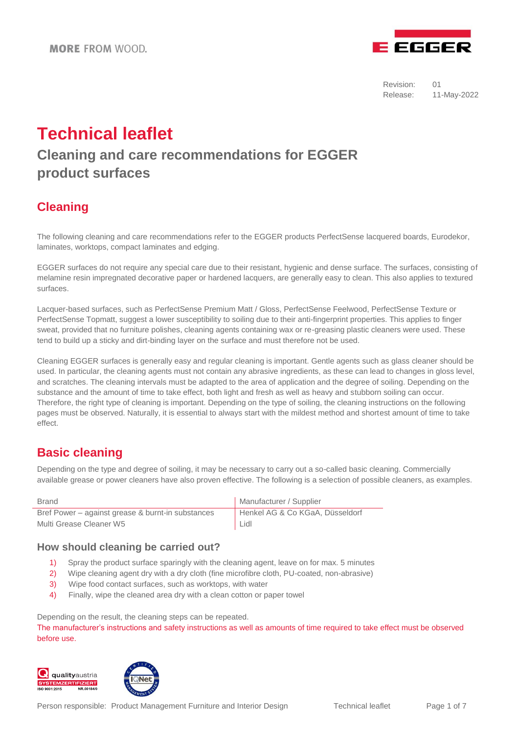

# **Technical leaflet**

# **Cleaning and care recommendations for EGGER product surfaces**

# **Cleaning**

The following cleaning and care recommendations refer to the EGGER products PerfectSense lacquered boards, Eurodekor, laminates, worktops, compact laminates and edging.

EGGER surfaces do not require any special care due to their resistant, hygienic and dense surface. The surfaces, consisting of melamine resin impregnated decorative paper or hardened lacquers, are generally easy to clean. This also applies to textured surfaces.

Lacquer-based surfaces, such as PerfectSense Premium Matt / Gloss, PerfectSense Feelwood, PerfectSense Texture or PerfectSense Topmatt, suggest a lower susceptibility to soiling due to their anti-fingerprint properties. This applies to finger sweat, provided that no furniture polishes, cleaning agents containing wax or re-greasing plastic cleaners were used. These tend to build up a sticky and dirt-binding layer on the surface and must therefore not be used.

Cleaning EGGER surfaces is generally easy and regular cleaning is important. Gentle agents such as glass cleaner should be used. In particular, the cleaning agents must not contain any abrasive ingredients, as these can lead to changes in gloss level, and scratches. The cleaning intervals must be adapted to the area of application and the degree of soiling. Depending on the substance and the amount of time to take effect, both light and fresh as well as heavy and stubborn soiling can occur. Therefore, the right type of cleaning is important. Depending on the type of soiling, the cleaning instructions on the following pages must be observed. Naturally, it is essential to always start with the mildest method and shortest amount of time to take effect.

### **Basic cleaning**

Depending on the type and degree of soiling, it may be necessary to carry out a so-called basic cleaning. Commercially available grease or power cleaners have also proven effective. The following is a selection of possible cleaners, as examples.

| <b>Brand</b>                                      | Manufacturer / Supplier         |
|---------------------------------------------------|---------------------------------|
| Bref Power – against grease & burnt-in substances | Henkel AG & Co KGaA, Düsseldorf |
| Multi Grease Cleaner W5                           | Lidl                            |

### **How should cleaning be carried out?**

- 1) Spray the product surface sparingly with the cleaning agent, leave on for max. 5 minutes
- 2) Wipe cleaning agent dry with a dry cloth (fine microfibre cloth, PU-coated, non-abrasive)
- 3) Wipe food contact surfaces, such as worktops, with water
- 4) Finally, wipe the cleaned area dry with a clean cotton or paper towel

Depending on the result, the cleaning steps can be repeated.

The manufacturer's instructions and safety instructions as well as amounts of time required to take effect must be observed before use.



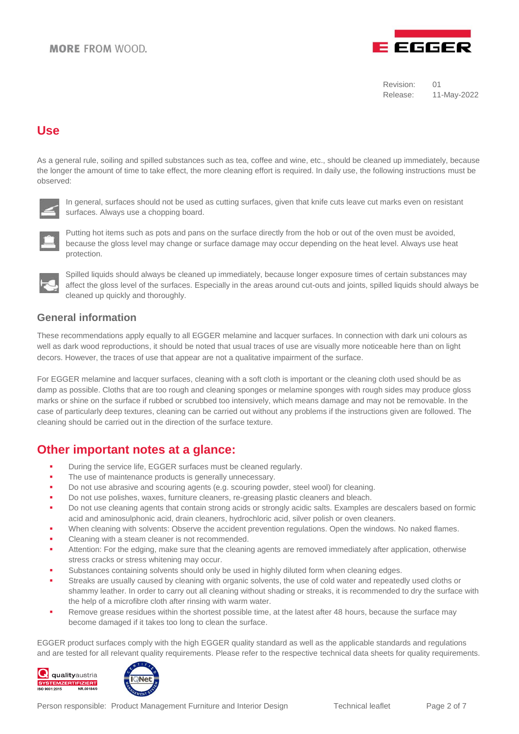### **MORE FROM WOOD**



Revision: 01 Release: 11-May-2022

### **Use**

As a general rule, soiling and spilled substances such as tea, coffee and wine, etc., should be cleaned up immediately, because the longer the amount of time to take effect, the more cleaning effort is required. In daily use, the following instructions must be observed:



In general, surfaces should not be used as cutting surfaces, given that knife cuts leave cut marks even on resistant surfaces. Always use a chopping board.



Putting hot items such as pots and pans on the surface directly from the hob or out of the oven must be avoided, because the gloss level may change or surface damage may occur depending on the heat level. Always use heat protection.



Spilled liquids should always be cleaned up immediately, because longer exposure times of certain substances may affect the gloss level of the surfaces. Especially in the areas around cut-outs and joints, spilled liquids should always be cleaned up quickly and thoroughly.

#### **General information**

These recommendations apply equally to all EGGER melamine and lacquer surfaces. In connection with dark uni colours as well as dark wood reproductions, it should be noted that usual traces of use are visually more noticeable here than on light decors. However, the traces of use that appear are not a qualitative impairment of the surface.

For EGGER melamine and lacquer surfaces, cleaning with a soft cloth is important or the cleaning cloth used should be as damp as possible. Cloths that are too rough and cleaning sponges or melamine sponges with rough sides may produce gloss marks or shine on the surface if rubbed or scrubbed too intensively, which means damage and may not be removable. In the case of particularly deep textures, cleaning can be carried out without any problems if the instructions given are followed. The cleaning should be carried out in the direction of the surface texture.

### **Other important notes at a glance:**

- **During the service life, EGGER surfaces must be cleaned regularly.**
- The use of maintenance products is generally unnecessary.
- Do not use abrasive and scouring agents (e.g. scouring powder, steel wool) for cleaning.
- Do not use polishes, waxes, furniture cleaners, re-greasing plastic cleaners and bleach.
- Do not use cleaning agents that contain strong acids or strongly acidic salts. Examples are descalers based on formic acid and aminosulphonic acid, drain cleaners, hydrochloric acid, silver polish or oven cleaners.
- When cleaning with solvents: Observe the accident prevention regulations. Open the windows. No naked flames.
- Cleaning with a steam cleaner is not recommended.
- Attention: For the edging, make sure that the cleaning agents are removed immediately after application, otherwise stress cracks or stress whitening may occur.
- Substances containing solvents should only be used in highly diluted form when cleaning edges.
- Streaks are usually caused by cleaning with organic solvents, the use of cold water and repeatedly used cloths or shammy leather. In order to carry out all cleaning without shading or streaks, it is recommended to dry the surface with the help of a microfibre cloth after rinsing with warm water.
- Remove grease residues within the shortest possible time, at the latest after 48 hours, because the surface may become damaged if it takes too long to clean the surface.

EGGER product surfaces comply with the high EGGER quality standard as well as the applicable standards and regulations and are tested for all relevant quality requirements. Please refer to the respective technical data sheets for quality requirements.





Person responsible: Product Management Furniture and Interior Design Technical leaflet Page 2 of 7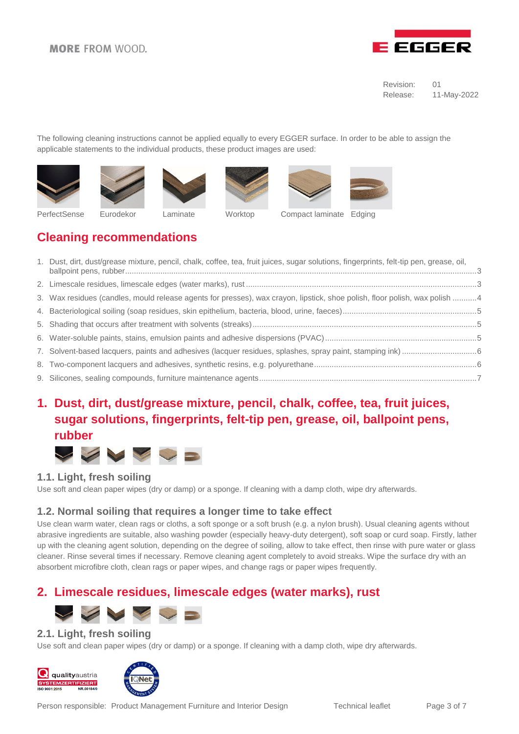

The following cleaning instructions cannot be applied equally to every EGGER surface. In order to be able to assign the applicable statements to the individual products, these product images are used:













PerfectSense Eurodekor Laminate Worktop Compact laminate Edging





| 1. Dust, dirt, dust/grease mixture, pencil, chalk, coffee, tea, fruit juices, sugar solutions, fingerprints, felt-tip pen, grease, oil, |
|-----------------------------------------------------------------------------------------------------------------------------------------|
|                                                                                                                                         |
| 3. Wax residues (candles, mould release agents for presses), wax crayon, lipstick, shoe polish, floor polish, wax polish 4              |
|                                                                                                                                         |
|                                                                                                                                         |
|                                                                                                                                         |
|                                                                                                                                         |
|                                                                                                                                         |
|                                                                                                                                         |
|                                                                                                                                         |

# <span id="page-2-0"></span>**1. Dust, dirt, dust/grease mixture, pencil, chalk, coffee, tea, fruit juices, sugar solutions, fingerprints, felt-tip pen, grease, oil, ballpoint pens, rubber**



### **1.1. Light, fresh soiling**

Use soft and clean paper wipes (dry or damp) or a sponge. If cleaning with a damp cloth, wipe dry afterwards.

### **1.2. Normal soiling that requires a longer time to take effect**

Use clean warm water, clean rags or cloths, a soft sponge or a soft brush (e.g. a nylon brush). Usual cleaning agents without abrasive ingredients are suitable, also washing powder (especially heavy-duty detergent), soft soap or curd soap. Firstly, lather up with the cleaning agent solution, depending on the degree of soiling, allow to take effect, then rinse with pure water or glass cleaner. Rinse several times if necessary. Remove cleaning agent completely to avoid streaks. Wipe the surface dry with an absorbent microfibre cloth, clean rags or paper wipes, and change rags or paper wipes frequently.

# <span id="page-2-1"></span>**2. Limescale residues, limescale edges (water marks), rust**



### **2.1. Light, fresh soiling**

Use soft and clean paper wipes (dry or damp) or a sponge. If cleaning with a damp cloth, wipe dry afterwards.





Person responsible: Product Management Furniture and Interior Design Technical leaflet Page 3 of 7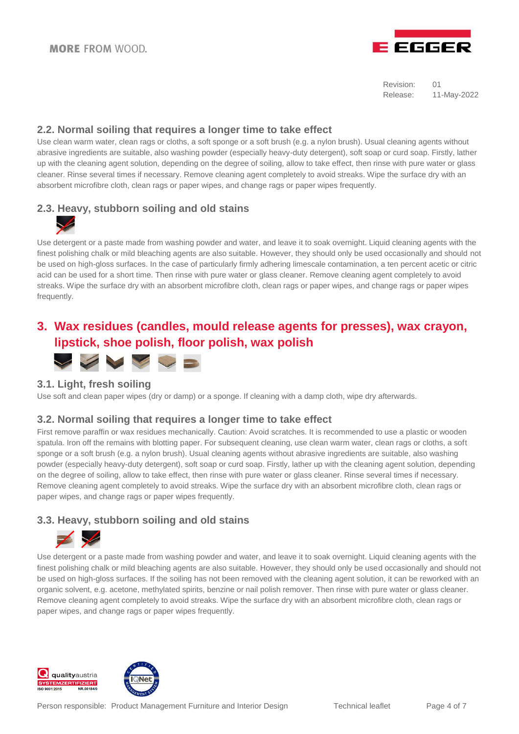

### **2.2. Normal soiling that requires a longer time to take effect**

Use clean warm water, clean rags or cloths, a soft sponge or a soft brush (e.g. a nylon brush). Usual cleaning agents without abrasive ingredients are suitable, also washing powder (especially heavy-duty detergent), soft soap or curd soap. Firstly, lather up with the cleaning agent solution, depending on the degree of soiling, allow to take effect, then rinse with pure water or glass cleaner. Rinse several times if necessary. Remove cleaning agent completely to avoid streaks. Wipe the surface dry with an absorbent microfibre cloth, clean rags or paper wipes, and change rags or paper wipes frequently.

### **2.3. Heavy, stubborn soiling and old stains**



Use detergent or a paste made from washing powder and water, and leave it to soak overnight. Liquid cleaning agents with the finest polishing chalk or mild bleaching agents are also suitable. However, they should only be used occasionally and should not be used on high-gloss surfaces. In the case of particularly firmly adhering limescale contamination, a ten percent acetic or citric acid can be used for a short time. Then rinse with pure water or glass cleaner. Remove cleaning agent completely to avoid streaks. Wipe the surface dry with an absorbent microfibre cloth, clean rags or paper wipes, and change rags or paper wipes frequently.

### <span id="page-3-0"></span>**3. Wax residues (candles, mould release agents for presses), wax crayon, lipstick, shoe polish, floor polish, wax polish**



### **3.1. Light, fresh soiling**

Use soft and clean paper wipes (dry or damp) or a sponge. If cleaning with a damp cloth, wipe dry afterwards.

### **3.2. Normal soiling that requires a longer time to take effect**

First remove paraffin or wax residues mechanically. Caution: Avoid scratches. It is recommended to use a plastic or wooden spatula. Iron off the remains with blotting paper. For subsequent cleaning, use clean warm water, clean rags or cloths, a soft sponge or a soft brush (e.g. a nylon brush). Usual cleaning agents without abrasive ingredients are suitable, also washing powder (especially heavy-duty detergent), soft soap or curd soap. Firstly, lather up with the cleaning agent solution, depending on the degree of soiling, allow to take effect, then rinse with pure water or glass cleaner. Rinse several times if necessary. Remove cleaning agent completely to avoid streaks. Wipe the surface dry with an absorbent microfibre cloth, clean rags or paper wipes, and change rags or paper wipes frequently.

### **3.3. Heavy, stubborn soiling and old stains**



Use detergent or a paste made from washing powder and water, and leave it to soak overnight. Liquid cleaning agents with the finest polishing chalk or mild bleaching agents are also suitable. However, they should only be used occasionally and should not be used on high-gloss surfaces. If the soiling has not been removed with the cleaning agent solution, it can be reworked with an organic solvent, e.g. acetone, methylated spirits, benzine or nail polish remover. Then rinse with pure water or glass cleaner. Remove cleaning agent completely to avoid streaks. Wipe the surface dry with an absorbent microfibre cloth, clean rags or paper wipes, and change rags or paper wipes frequently.



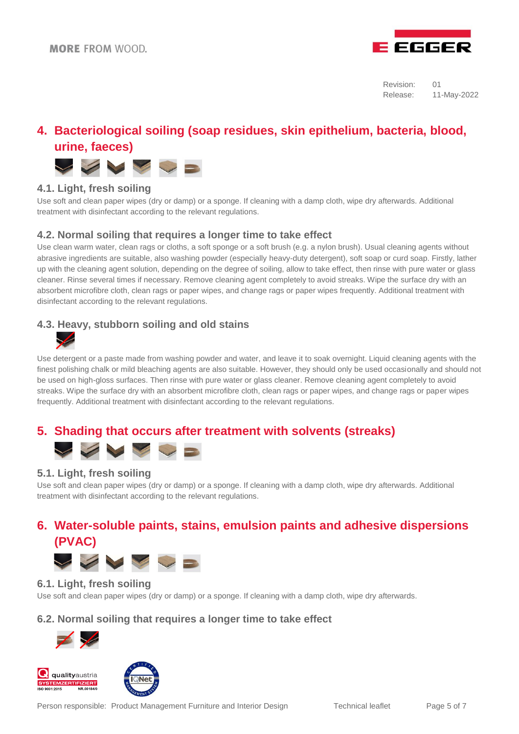

# <span id="page-4-0"></span>**4. Bacteriological soiling (soap residues, skin epithelium, bacteria, blood, urine, faeces)**



### **4.1. Light, fresh soiling**

Use soft and clean paper wipes (dry or damp) or a sponge. If cleaning with a damp cloth, wipe dry afterwards. Additional treatment with disinfectant according to the relevant regulations.

### **4.2. Normal soiling that requires a longer time to take effect**

Use clean warm water, clean rags or cloths, a soft sponge or a soft brush (e.g. a nylon brush). Usual cleaning agents without abrasive ingredients are suitable, also washing powder (especially heavy-duty detergent), soft soap or curd soap. Firstly, lather up with the cleaning agent solution, depending on the degree of soiling, allow to take effect, then rinse with pure water or glass cleaner. Rinse several times if necessary. Remove cleaning agent completely to avoid streaks. Wipe the surface dry with an absorbent microfibre cloth, clean rags or paper wipes, and change rags or paper wipes frequently. Additional treatment with disinfectant according to the relevant regulations.

### **4.3. Heavy, stubborn soiling and old stains**



Use detergent or a paste made from washing powder and water, and leave it to soak overnight. Liquid cleaning agents with the finest polishing chalk or mild bleaching agents are also suitable. However, they should only be used occasionally and should not be used on high-gloss surfaces. Then rinse with pure water or glass cleaner. Remove cleaning agent completely to avoid streaks. Wipe the surface dry with an absorbent microfibre cloth, clean rags or paper wipes, and change rags or paper wipes frequently. Additional treatment with disinfectant according to the relevant regulations.

### <span id="page-4-1"></span>**5. Shading that occurs after treatment with solvents (streaks)**



### **5.1. Light, fresh soiling**

Use soft and clean paper wipes (dry or damp) or a sponge. If cleaning with a damp cloth, wipe dry afterwards. Additional treatment with disinfectant according to the relevant regulations.

# <span id="page-4-2"></span>**6. Water-soluble paints, stains, emulsion paints and adhesive dispersions (PVAC)**



### **6.1. Light, fresh soiling**

Use soft and clean paper wipes (dry or damp) or a sponge. If cleaning with a damp cloth, wipe dry afterwards.

### **6.2. Normal soiling that requires a longer time to take effect**







Person responsible: Product Management Furniture and Interior Design Technical leaflet Page 5 of 7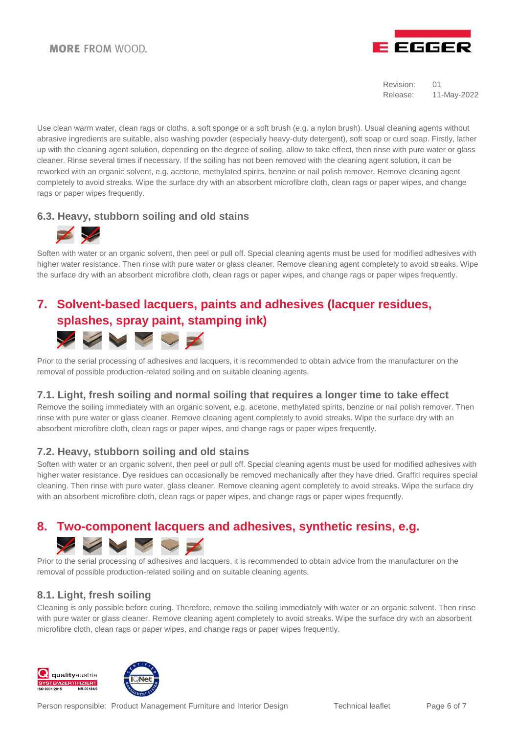

Use clean warm water, clean rags or cloths, a soft sponge or a soft brush (e.g. a nylon brush). Usual cleaning agents without abrasive ingredients are suitable, also washing powder (especially heavy-duty detergent), soft soap or curd soap. Firstly, lather up with the cleaning agent solution, depending on the degree of soiling, allow to take effect, then rinse with pure water or glass cleaner. Rinse several times if necessary. If the soiling has not been removed with the cleaning agent solution, it can be reworked with an organic solvent, e.g. acetone, methylated spirits, benzine or nail polish remover. Remove cleaning agent completely to avoid streaks. Wipe the surface dry with an absorbent microfibre cloth, clean rags or paper wipes, and change rags or paper wipes frequently.

### **6.3. Heavy, stubborn soiling and old stains**



Soften with water or an organic solvent, then peel or pull off. Special cleaning agents must be used for modified adhesives with higher water resistance. Then rinse with pure water or glass cleaner. Remove cleaning agent completely to avoid streaks. Wipe the surface dry with an absorbent microfibre cloth, clean rags or paper wipes, and change rags or paper wipes frequently.

# <span id="page-5-0"></span>**7. Solvent-based lacquers, paints and adhesives (lacquer residues, splashes, spray paint, stamping ink)**  Service of

Prior to the serial processing of adhesives and lacquers, it is recommended to obtain advice from the manufacturer on the removal of possible production-related soiling and on suitable cleaning agents.

#### **7.1. Light, fresh soiling and normal soiling that requires a longer time to take effect**

Remove the soiling immediately with an organic solvent, e.g. acetone, methylated spirits, benzine or nail polish remover. Then rinse with pure water or glass cleaner. Remove cleaning agent completely to avoid streaks. Wipe the surface dry with an absorbent microfibre cloth, clean rags or paper wipes, and change rags or paper wipes frequently.

### **7.2. Heavy, stubborn soiling and old stains**

Soften with water or an organic solvent, then peel or pull off. Special cleaning agents must be used for modified adhesives with higher water resistance. Dye residues can occasionally be removed mechanically after they have dried. Graffiti requires special cleaning. Then rinse with pure water, glass cleaner. Remove cleaning agent completely to avoid streaks. Wipe the surface dry with an absorbent microfibre cloth, clean rags or paper wipes, and change rags or paper wipes frequently.

# **8. Two-component lacquers and adhesives, synthetic resins, e.g.**

<span id="page-5-1"></span>

Prior to the serial processing of adhesives and lacquers, it is recommended to obtain advice from the manufacturer on the removal of possible production-related soiling and on suitable cleaning agents.

### **8.1. Light, fresh soiling**

Cleaning is only possible before curing. Therefore, remove the soiling immediately with water or an organic solvent. Then rinse with pure water or glass cleaner. Remove cleaning agent completely to avoid streaks. Wipe the surface dry with an absorbent microfibre cloth, clean rags or paper wipes, and change rags or paper wipes frequently.